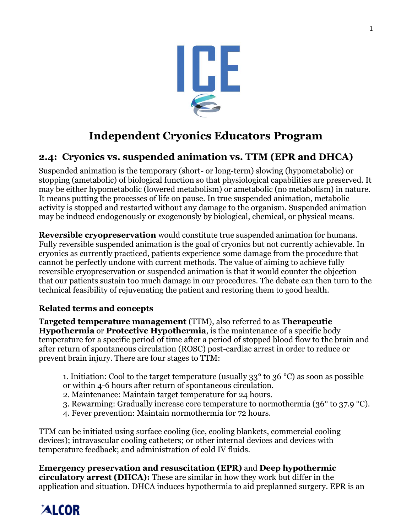

## **Independent Cryonics Educators Program**

## **2.4: Cryonics vs. suspended animation vs. TTM (EPR and DHCA)**

Suspended animation is the temporary (short- or long-term) slowing (hypometabolic) or stopping (ametabolic) of biological function so that physiological capabilities are preserved. It may be either hypometabolic (lowered metabolism) or ametabolic (no metabolism) in nature. It means putting the processes of life on pause. In true suspended animation, metabolic activity is stopped and restarted without any damage to the organism. Suspended animation may be induced endogenously or exogenously by biological, chemical, or physical means.

**Reversible cryopreservation** would constitute true suspended animation for humans. Fully reversible suspended animation is the goal of cryonics but not currently achievable. In cryonics as currently practiced, patients experience some damage from the procedure that cannot be perfectly undone with current methods. The value of aiming to achieve fully reversible cryopreservation or suspended animation is that it would counter the objection that our patients sustain too much damage in our procedures. The debate can then turn to the technical feasibility of rejuvenating the patient and restoring them to good health.

### **Related terms and concepts**

**Targeted temperature management** (TTM), also referred to as **Therapeutic Hypothermia** or **Protective Hypothermia**, is the maintenance of a specific body temperature for a specific period of time after a period of stopped blood flow to the brain and after return of spontaneous circulation (ROSC) post-cardiac arrest in order to reduce or prevent brain injury. There are four stages to TTM:

- 1. Initiation: Cool to the target temperature (usually  $33^{\circ}$  to  $36^{\circ}$ C) as soon as possible or within 4-6 hours after return of spontaneous circulation.
- 2. Maintenance: Maintain target temperature for 24 hours.
- 3. Rewarming: Gradually increase core temperature to normothermia (36° to 37.9 °C).
- 4. Fever prevention: Maintain normothermia for 72 hours.

TTM can be initiated using surface cooling (ice, cooling blankets, commercial cooling devices); intravascular cooling catheters; or other internal devices and devices with temperature feedback; and administration of cold IV fluids.

**Emergency preservation and resuscitation (EPR)** and **Deep hypothermic circulatory arrest (DHCA):** These are similar in how they work but differ in the application and situation. DHCA induces hypothermia to aid preplanned surgery. EPR is an

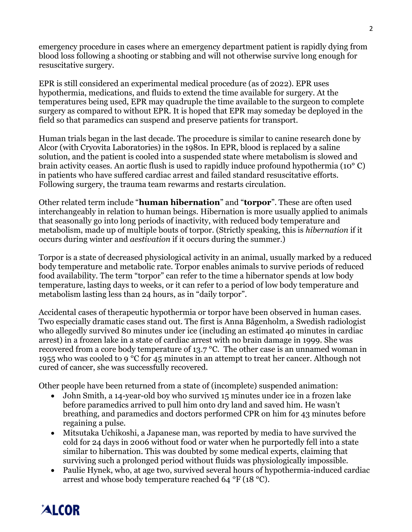emergency procedure in cases where an emergency department patient is rapidly dying from blood loss following a shooting or stabbing and will not otherwise survive long enough for resuscitative surgery.

EPR is still considered an experimental medical procedure (as of 2022). EPR uses hypothermia, medications, and fluids to extend the time available for surgery. At the temperatures being used, EPR may quadruple the time available to the surgeon to complete surgery as compared to without EPR. It is hoped that EPR may someday be deployed in the field so that paramedics can suspend and preserve patients for transport.

Human trials began in the last decade. The procedure is similar to canine research done by Alcor (with Cryovita Laboratories) in the 1980s. In EPR, blood is replaced by a saline solution, and the patient is cooled into a suspended state where metabolism is slowed and brain activity ceases. An aortic flush is used to rapidly induce profound hypothermia (10° C) in patients who have suffered cardiac arrest and failed standard resuscitative efforts. Following surgery, the trauma team rewarms and restarts circulation.

Other related term include "**human hibernation**" and "**torpor**". These are often used interchangeably in relation to human beings. Hibernation is more usually applied to animals that seasonally go into long periods of inactivity, with reduced body temperature and metabolism, made up of multiple bouts of torpor. (Strictly speaking, this is *hibernation* if it occurs during winter and *aestivation* if it occurs during the summer.)

Torpor is a state of decreased physiological activity in an animal, usually marked by a reduced body temperature and metabolic rate. Torpor enables animals to survive periods of reduced food availability. The term "torpor" can refer to the time a hibernator spends at low body temperature, lasting days to weeks, or it can refer to a period of low body temperature and metabolism lasting less than 24 hours, as in "daily torpor".

Accidental cases of therapeutic hypothermia or torpor have been observed in human cases. Two especially dramatic cases stand out. The first is Anna Bågenholm, a Swedish radiologist who allegedly survived 80 minutes under ice (including an estimated 40 minutes in cardiac arrest) in a frozen lake in a state of cardiac arrest with no brain damage in 1999. She was recovered from a core body temperature of 13.7 °C. The other case is an unnamed woman in 1955 who was cooled to 9 °C for 45 minutes in an attempt to treat her cancer. Although not cured of cancer, she was successfully recovered.

Other people have been returned from a state of (incomplete) suspended animation:

- John Smith, a 14-year-old boy who survived 15 minutes under ice in a frozen lake before paramedics arrived to pull him onto dry land and saved him. He wasn't breathing, and paramedics and doctors performed CPR on him for 43 minutes before regaining a pulse.
- Mitsutaka Uchikoshi, a Japanese man, was reported by media to have survived the cold for 24 days in 2006 without food or water when he purportedly fell into a state similar to hibernation. This was doubted by some medical experts, claiming that surviving such a prolonged period without fluids was physiologically impossible.
- Paulie Hynek, who, at age two, survived several hours of hypothermia-induced cardiac arrest and whose body temperature reached 64 °F (18 °C).